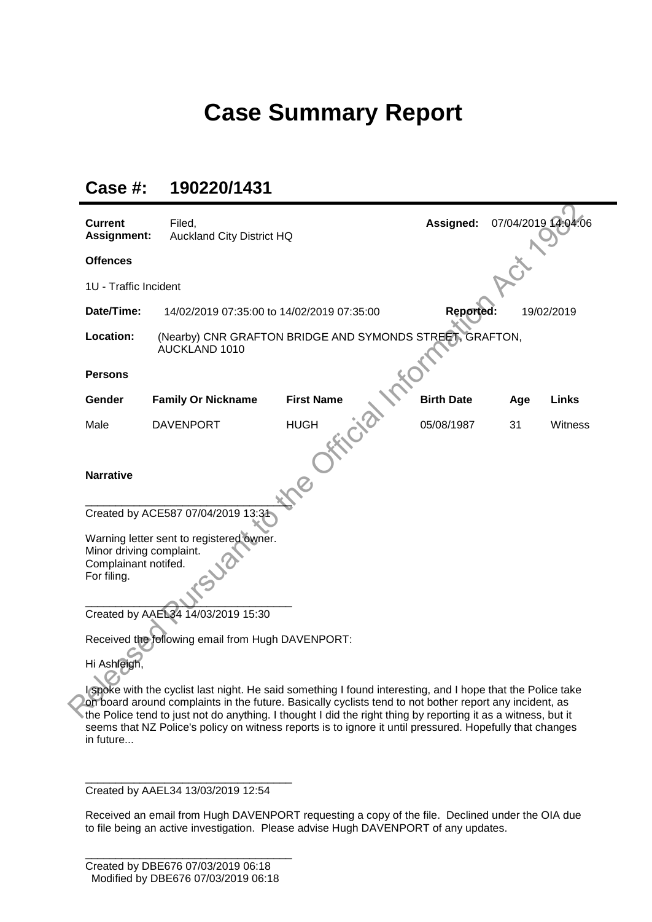## **Case Summary Report**

| Case #: | 190220/1431 |
|---------|-------------|
|---------|-------------|

| <b>Current</b><br>Assignment:                                   | Filed,<br><b>Auckland City District HQ</b>                                | Assigned:         | 07/04/2019 14:04:06 |     |              |  |
|-----------------------------------------------------------------|---------------------------------------------------------------------------|-------------------|---------------------|-----|--------------|--|
| <b>Offences</b>                                                 |                                                                           |                   |                     |     |              |  |
| 1U - Traffic Incident                                           |                                                                           |                   |                     |     |              |  |
| Date/Time:                                                      | 14/02/2019 07:35:00 to 14/02/2019 07:35:00                                |                   | <b>Reported:</b>    |     | 19/02/2019   |  |
| Location:                                                       | (Nearby) CNR GRAFTON BRIDGE AND SYMONDS STREET, GRAFTON,<br>AUCKLAND 1010 |                   |                     |     |              |  |
| <b>Persons</b>                                                  |                                                                           |                   |                     |     |              |  |
| Gender                                                          | <b>Family Or Nickname</b>                                                 | <b>First Name</b> | <b>Birth Date</b>   | Age | <b>Links</b> |  |
| Male                                                            | <b>DAVENPORT</b>                                                          | <b>HUGH</b>       | 05/08/1987          | 31  | Witness      |  |
| <b>Narrative</b>                                                |                                                                           |                   |                     |     |              |  |
|                                                                 | Created by ACE587 07/04/2019 13:31                                        |                   |                     |     |              |  |
| Minor driving complaint.<br>Complainant notifed.<br>For filing. | Warning letter sent to registered owner.                                  |                   |                     |     |              |  |
|                                                                 | Created by AAEL34 14/03/2019 15:30                                        |                   |                     |     |              |  |
|                                                                 | Received the following email from Hugh DAVENPORT:                         |                   |                     |     |              |  |
|                                                                 |                                                                           |                   |                     |     |              |  |

on board around complaints in the future. Basically cyclists tend to not bother report any incident, as the Police tend to just not do anything. I thought I did the right thing by reporting it as a witness, but it seems that NZ Police's policy on witness reports is to ignore it until pressured. Hopefully that changes in future...

\_\_\_\_\_\_\_\_\_\_\_\_\_\_\_\_\_\_\_\_\_\_\_\_\_\_\_\_\_\_\_\_\_\_ Created by AAEL34 13/03/2019 12:54

Received an email from Hugh DAVENPORT requesting a copy of the file. Declined under the OIA due to file being an active investigation. Please advise Hugh DAVENPORT of any updates.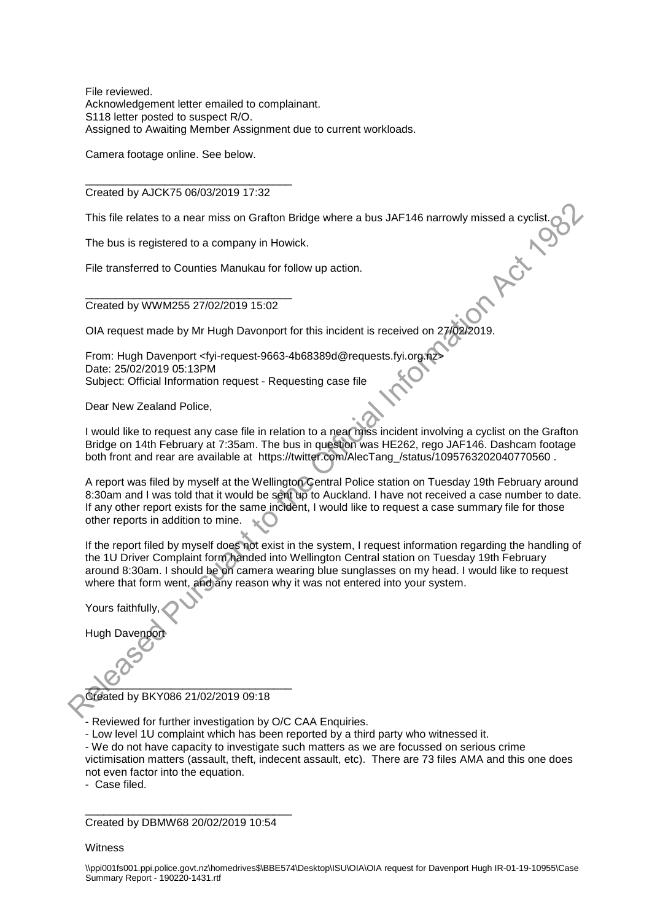File reviewed. Acknowledgement letter emailed to complainant. S118 letter posted to suspect R/O. Assigned to Awaiting Member Assignment due to current workloads.

Camera footage online. See below.

\_\_\_\_\_\_\_\_\_\_\_\_\_\_\_\_\_\_\_\_\_\_\_\_\_\_\_\_\_\_\_\_\_\_ Created by AJCK75 06/03/2019 17:32

This file relates to a near miss on Grafton Bridge where a bus JAF146 narrowly missed a cyclist.<br>The bus is registered to a company in Howick.<br>File transferred to Counties Manukau for follow up action

The bus is registered to a company in Howick.

File transferred to Counties Manukau for follow up action.

\_\_\_\_\_\_\_\_\_\_\_\_\_\_\_\_\_\_\_\_\_\_\_\_\_\_\_\_\_\_\_\_\_\_ Created by WWM255 27/02/2019 15:02

OIA request made by Mr Hugh Davonport for this incident is received on 27/02/2019.

From: Hugh Davenport <fyi-request-9663-4b68389d@requests.fyi.org.nz> Date: 25/02/2019 05:13PM Subject: Official Information request - Requesting case file

Dear New Zealand Police,

I would like to request any case file in relation to a near miss incident involving a cyclist on the Grafton Bridge on 14th February at 7:35am. The bus in question was HE262, rego JAF146. Dashcam footage both front and rear are available at https://twitter.com/AlecTang\_/status/1095763202040770560 .

A report was filed by myself at the Wellington Central Police station on Tuesday 19th February around 8:30am and I was told that it would be sent up to Auckland. I have not received a case number to date. If any other report exists for the same incident, I would like to request a case summary file for those other reports in addition to mine. This file relates to a near miss on Grafton Bridge where a bus JAF146 narrowly missed a cyclist.<br>
The bus is registered to a company in Howick.<br>
File transferred to Counties Manukau for follow up action.<br>
Croated by WW1M2

If the report filed by myself does not exist in the system, I request information regarding the handling of the 1U Driver Complaint form handed into Wellington Central station on Tuesday 19th February around 8:30am. I should be on camera wearing blue sunglasses on my head. I would like to request where that form went, and any reason why it was not entered into your system.

Yours faithfully,

Hugh Dave

 $\sim$ Created by BKY086 21/02/2019 09:18

j - Reviewed for further investigation by O/C CAA Enquiries.

- Low level 1U complaint which has been reported by a third party who witnessed it.

- We do not have capacity to investigate such matters as we are focussed on serious crime

victimisation matters (assault, theft, indecent assault, etc). There are 73 files AMA and this one does not even factor into the equation.

- Case filed.

\_\_\_\_\_\_\_\_\_\_\_\_\_\_\_\_\_\_\_\_\_\_\_\_\_\_\_\_\_\_\_\_\_\_ Created by DBMW68 20/02/2019 10:54

**Witness**